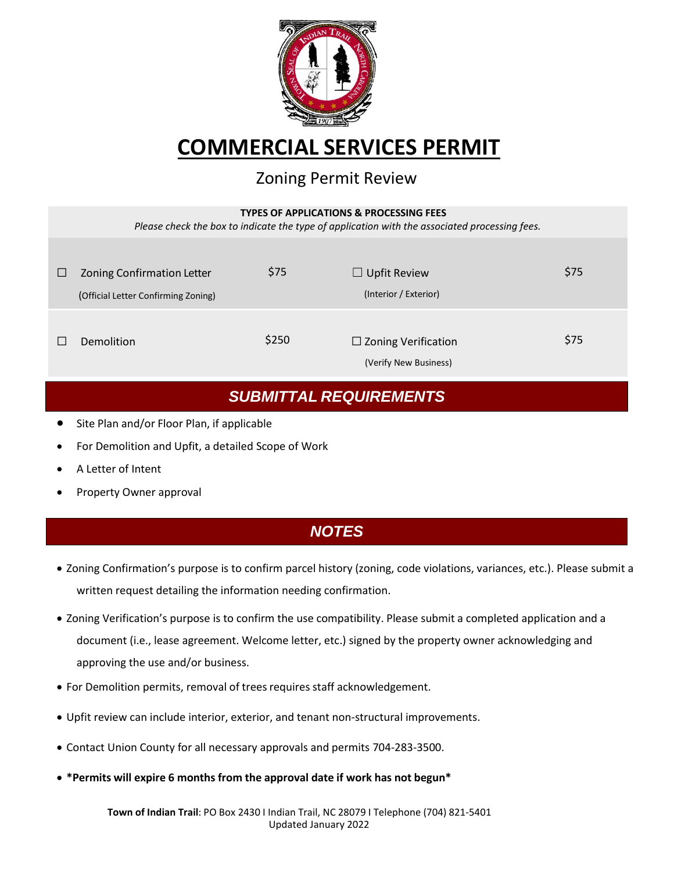

# **COMMERCIAL SERVICES PERMIT**

### Zoning Permit Review

#### **TYPES OF APPLICATIONS & PROCESSING FEES**

*Please check the box to indicate the type of application with the associated processing fees.*

| ⊔ | <b>Zoning Confirmation Letter</b><br>(Official Letter Confirming Zoning) | \$75  | $\Box$ Upfit Review<br>(Interior / Exterior)        | \$75 |
|---|--------------------------------------------------------------------------|-------|-----------------------------------------------------|------|
|   | Demolition                                                               | \$250 | $\Box$ Zoning Verification<br>(Verify New Business) | \$75 |

#### *SUBMITTAL REQUIREMENTS*

- Site Plan and/or Floor Plan, if applicable
- For Demolition and Upfit, a detailed Scope of Work
- A Letter of Intent
- Property Owner approval

#### *NOTES*

- Zoning Confirmation's purpose is to confirm parcel history (zoning, code violations, variances, etc.). Please submit a written request detailing the information needing confirmation.
- Zoning Verification's purpose is to confirm the use compatibility. Please submit a completed application and a document (i.e., lease agreement. Welcome letter, etc.) signed by the property owner acknowledging and approving the use and/or business.
- For Demolition permits, removal of trees requires staff acknowledgement.
- Upfit review can include interior, exterior, and tenant non-structural improvements.
- Contact Union County for all necessary approvals and permits 704-283-3500.
- **\*Permits will expire 6 months from the approval date if work has not begun\***